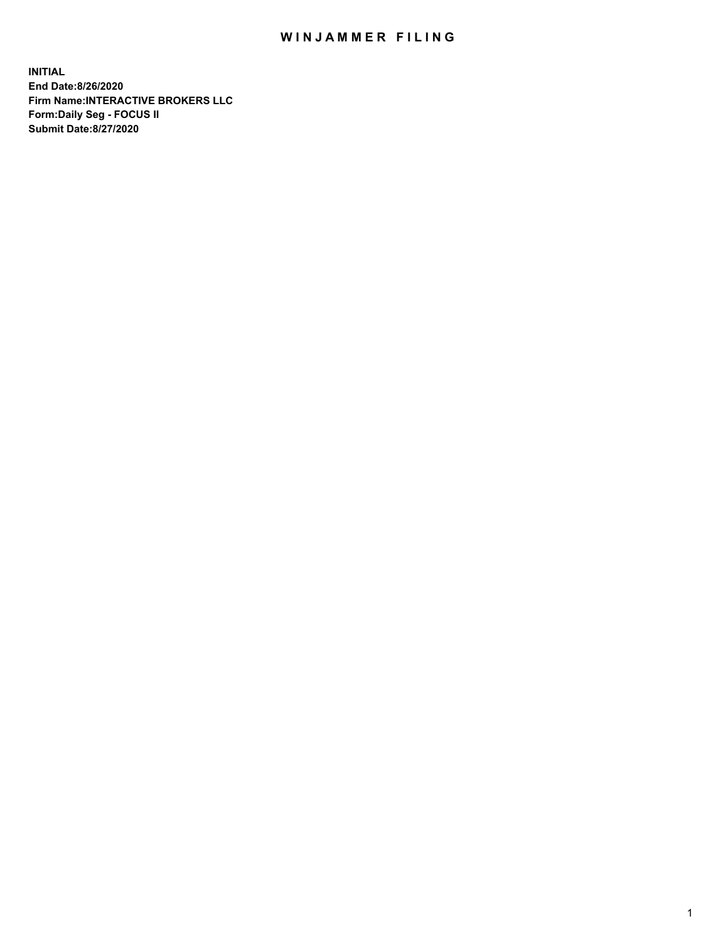## WIN JAMMER FILING

**INITIAL End Date:8/26/2020 Firm Name:INTERACTIVE BROKERS LLC Form:Daily Seg - FOCUS II Submit Date:8/27/2020**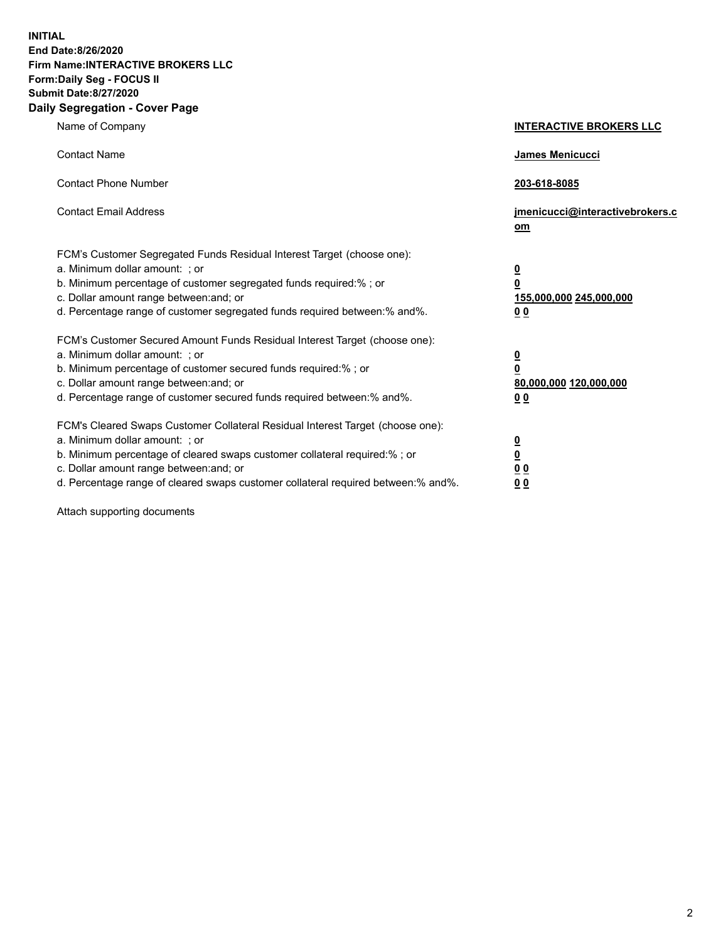**INITIAL End Date:8/26/2020 Firm Name:INTERACTIVE BROKERS LLC Form:Daily Seg - FOCUS II Submit Date:8/27/2020 Daily Segregation - Cover Page**

| Name of Company                                                                                                                                                                                                                                                                                                                | <b>INTERACTIVE BROKERS LLC</b>                                                   |
|--------------------------------------------------------------------------------------------------------------------------------------------------------------------------------------------------------------------------------------------------------------------------------------------------------------------------------|----------------------------------------------------------------------------------|
| <b>Contact Name</b>                                                                                                                                                                                                                                                                                                            | James Menicucci                                                                  |
| <b>Contact Phone Number</b>                                                                                                                                                                                                                                                                                                    | 203-618-8085                                                                     |
| <b>Contact Email Address</b>                                                                                                                                                                                                                                                                                                   | jmenicucci@interactivebrokers.c<br>om                                            |
| FCM's Customer Segregated Funds Residual Interest Target (choose one):<br>a. Minimum dollar amount: ; or<br>b. Minimum percentage of customer segregated funds required:% ; or<br>c. Dollar amount range between: and; or<br>d. Percentage range of customer segregated funds required between:% and%.                         | <u>0</u><br>$\overline{\mathbf{0}}$<br>155,000,000 245,000,000<br>0 <sub>0</sub> |
| FCM's Customer Secured Amount Funds Residual Interest Target (choose one):<br>a. Minimum dollar amount: ; or<br>b. Minimum percentage of customer secured funds required:% ; or<br>c. Dollar amount range between: and; or<br>d. Percentage range of customer secured funds required between:% and%.                           | <u>0</u><br>$\overline{\mathbf{0}}$<br>80,000,000 120,000,000<br>0 <sub>0</sub>  |
| FCM's Cleared Swaps Customer Collateral Residual Interest Target (choose one):<br>a. Minimum dollar amount: ; or<br>b. Minimum percentage of cleared swaps customer collateral required:% ; or<br>c. Dollar amount range between: and; or<br>d. Percentage range of cleared swaps customer collateral required between:% and%. | <u>0</u><br>$\underline{\mathbf{0}}$<br>0 <sub>0</sub><br>0 <sub>0</sub>         |

Attach supporting documents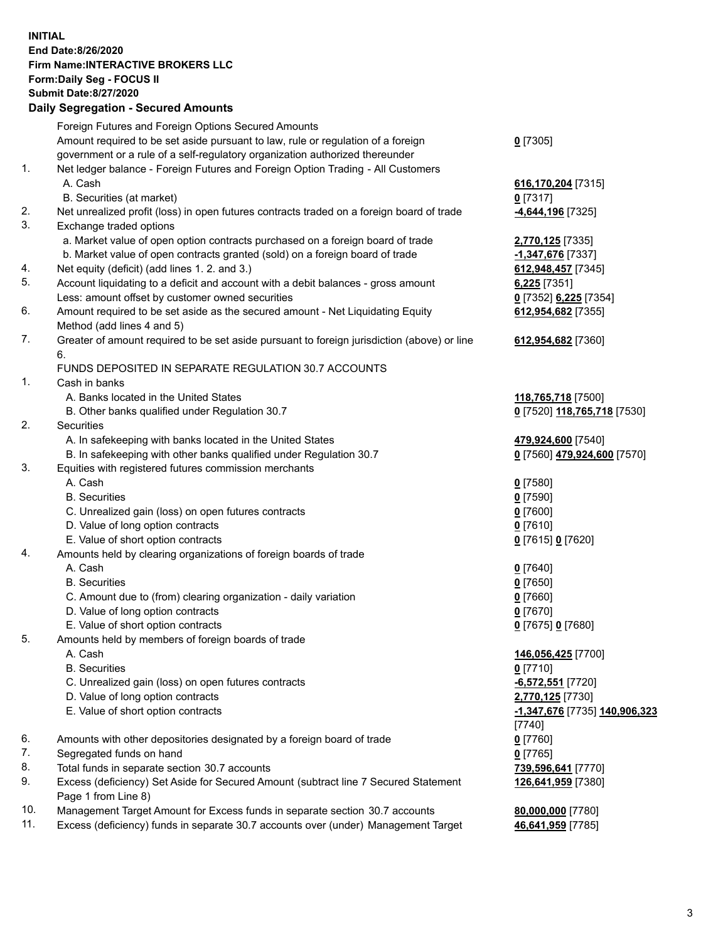**INITIAL End Date:8/26/2020 Firm Name:INTERACTIVE BROKERS LLC Form:Daily Seg - FOCUS II Submit Date:8/27/2020 Daily Segregation - Secured Amounts**

|     | Daily Segregation - Secured Amounts                                                         |                                        |
|-----|---------------------------------------------------------------------------------------------|----------------------------------------|
|     | Foreign Futures and Foreign Options Secured Amounts                                         |                                        |
|     | Amount required to be set aside pursuant to law, rule or regulation of a foreign            | $0$ [7305]                             |
|     | government or a rule of a self-regulatory organization authorized thereunder                |                                        |
| 1.  | Net ledger balance - Foreign Futures and Foreign Option Trading - All Customers             |                                        |
|     | A. Cash                                                                                     | 616,170,204 [7315]                     |
|     | B. Securities (at market)                                                                   | $0$ [7317]                             |
| 2.  | Net unrealized profit (loss) in open futures contracts traded on a foreign board of trade   | -4,644,196 <sup>[7325]</sup>           |
| 3.  | Exchange traded options                                                                     |                                        |
|     | a. Market value of open option contracts purchased on a foreign board of trade              | 2,770,125 [7335]                       |
|     | b. Market value of open contracts granted (sold) on a foreign board of trade                | -1,347,676 [7337]                      |
| 4.  | Net equity (deficit) (add lines 1. 2. and 3.)                                               | 612,948,457 [7345]                     |
| 5.  | Account liquidating to a deficit and account with a debit balances - gross amount           | $6,225$ [7351]                         |
|     | Less: amount offset by customer owned securities                                            | 0 [7352] 6,225 [7354]                  |
| 6.  | Amount required to be set aside as the secured amount - Net Liquidating Equity              | 612,954,682 [7355]                     |
|     | Method (add lines 4 and 5)                                                                  |                                        |
| 7.  | Greater of amount required to be set aside pursuant to foreign jurisdiction (above) or line | 612,954,682 [7360]                     |
|     | 6.                                                                                          |                                        |
|     | FUNDS DEPOSITED IN SEPARATE REGULATION 30.7 ACCOUNTS                                        |                                        |
| 1.  | Cash in banks                                                                               |                                        |
|     | A. Banks located in the United States                                                       | 118,765,718 [7500]                     |
|     | B. Other banks qualified under Regulation 30.7                                              | 0 [7520] 118,765,718 [7530]            |
| 2.  | Securities                                                                                  |                                        |
|     | A. In safekeeping with banks located in the United States                                   | 479,924,600 [7540]                     |
|     | B. In safekeeping with other banks qualified under Regulation 30.7                          | 0 [7560] 479,924,600 [7570]            |
| 3.  | Equities with registered futures commission merchants                                       |                                        |
|     | A. Cash                                                                                     | $0$ [7580]                             |
|     | <b>B.</b> Securities                                                                        | $0$ [7590]                             |
|     | C. Unrealized gain (loss) on open futures contracts                                         | $0$ [7600]                             |
|     | D. Value of long option contracts                                                           | $0$ [7610]                             |
|     | E. Value of short option contracts                                                          | 0 [7615] 0 [7620]                      |
| 4.  | Amounts held by clearing organizations of foreign boards of trade                           |                                        |
|     | A. Cash                                                                                     | $0$ [7640]                             |
|     | <b>B.</b> Securities                                                                        | $0$ [7650]                             |
|     | C. Amount due to (from) clearing organization - daily variation                             | $0$ [7660]                             |
|     | D. Value of long option contracts                                                           | $0$ [7670]                             |
|     | E. Value of short option contracts                                                          | 0 [7675] 0 [7680]                      |
| 5.  | Amounts held by members of foreign boards of trade                                          |                                        |
|     | A. Cash                                                                                     | 146,056,425 [7700]                     |
|     | <b>B.</b> Securities                                                                        | $0$ [7710]                             |
|     | C. Unrealized gain (loss) on open futures contracts                                         | $-6,572,551$ [7720]                    |
|     | D. Value of long option contracts                                                           | 2,770,125 [7730]                       |
|     | E. Value of short option contracts                                                          | -1,347,676 [7735] 140,906,323          |
|     |                                                                                             | [7740]                                 |
| 6.  | Amounts with other depositories designated by a foreign board of trade                      | $0$ [7760]                             |
| 7.  | Segregated funds on hand                                                                    |                                        |
| 8.  | Total funds in separate section 30.7 accounts                                               | $0$ [7765]                             |
| 9.  | Excess (deficiency) Set Aside for Secured Amount (subtract line 7 Secured Statement         | 739,596,641 [7770]                     |
|     | Page 1 from Line 8)                                                                         | 126,641,959 [7380]                     |
| 10. | Management Target Amount for Excess funds in separate section 30.7 accounts                 |                                        |
| 11. | Excess (deficiency) funds in separate 30.7 accounts over (under) Management Target          | 80,000,000 [7780]<br>46,641,959 [7785] |
|     |                                                                                             |                                        |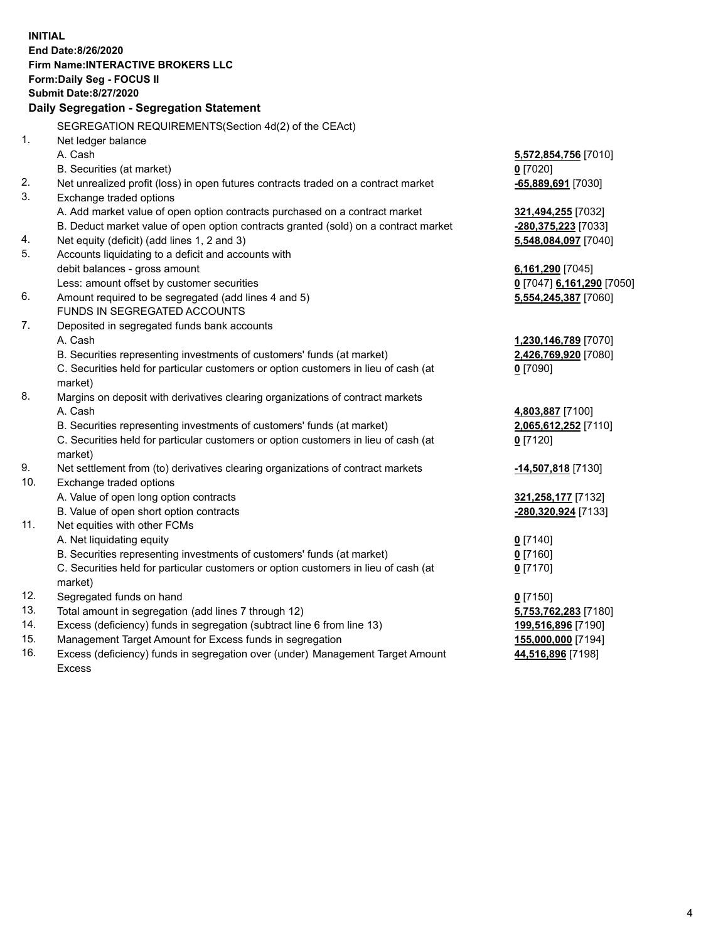**INITIAL End Date:8/26/2020 Firm Name:INTERACTIVE BROKERS LLC Form:Daily Seg - FOCUS II Submit Date:8/27/2020 Daily Segregation - Segregation Statement** SEGREGATION REQUIREMENTS(Section 4d(2) of the CEAct) 1. Net ledger balance A. Cash **5,572,854,756** [7010] B. Securities (at market) **0** [7020] 2. Net unrealized profit (loss) in open futures contracts traded on a contract market **-65,889,691** [7030] 3. Exchange traded options A. Add market value of open option contracts purchased on a contract market **321,494,255** [7032] B. Deduct market value of open option contracts granted (sold) on a contract market **-280,375,223** [7033] 4. Net equity (deficit) (add lines 1, 2 and 3) **5,548,084,097** [7040] 5. Accounts liquidating to a deficit and accounts with debit balances - gross amount **6,161,290** [7045] Less: amount offset by customer securities **0** [7047] **6,161,290** [7050] 6. Amount required to be segregated (add lines 4 and 5) **5,554,245,387** [7060] FUNDS IN SEGREGATED ACCOUNTS 7. Deposited in segregated funds bank accounts A. Cash **1,230,146,789** [7070] B. Securities representing investments of customers' funds (at market) **2,426,769,920** [7080] C. Securities held for particular customers or option customers in lieu of cash (at market) **0** [7090] 8. Margins on deposit with derivatives clearing organizations of contract markets A. Cash **4,803,887** [7100] B. Securities representing investments of customers' funds (at market) **2,065,612,252** [7110] C. Securities held for particular customers or option customers in lieu of cash (at market) **0** [7120] 9. Net settlement from (to) derivatives clearing organizations of contract markets **-14,507,818** [7130] 10. Exchange traded options A. Value of open long option contracts **321,258,177** [7132] B. Value of open short option contracts **-280,320,924** [7133] 11. Net equities with other FCMs A. Net liquidating equity **0** [7140] B. Securities representing investments of customers' funds (at market) **0** [7160] C. Securities held for particular customers or option customers in lieu of cash (at market) **0** [7170] 12. Segregated funds on hand **0** [7150] 13. Total amount in segregation (add lines 7 through 12) **5,753,762,283** [7180] 14. Excess (deficiency) funds in segregation (subtract line 6 from line 13) **199,516,896** [7190] 15. Management Target Amount for Excess funds in segregation **155,000,000** [7194] 16. Excess (deficiency) funds in segregation over (under) Management Target Amount **44,516,896** [7198]

Excess